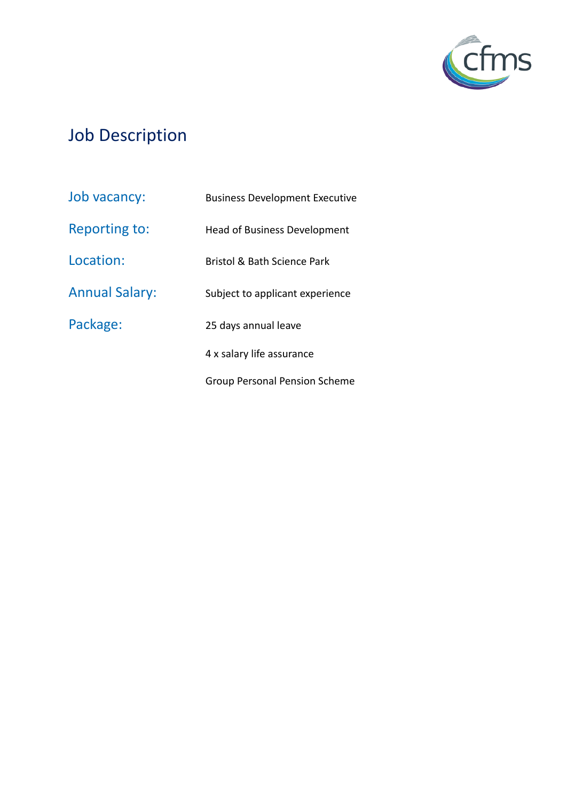

# Job Description

| Job vacancy:          | <b>Business Development Executive</b> |
|-----------------------|---------------------------------------|
| <b>Reporting to:</b>  | <b>Head of Business Development</b>   |
| Location:             | Bristol & Bath Science Park           |
| <b>Annual Salary:</b> | Subject to applicant experience       |
| Package:              | 25 days annual leave                  |
|                       | 4 x salary life assurance             |
|                       | Group Personal Pension Scheme         |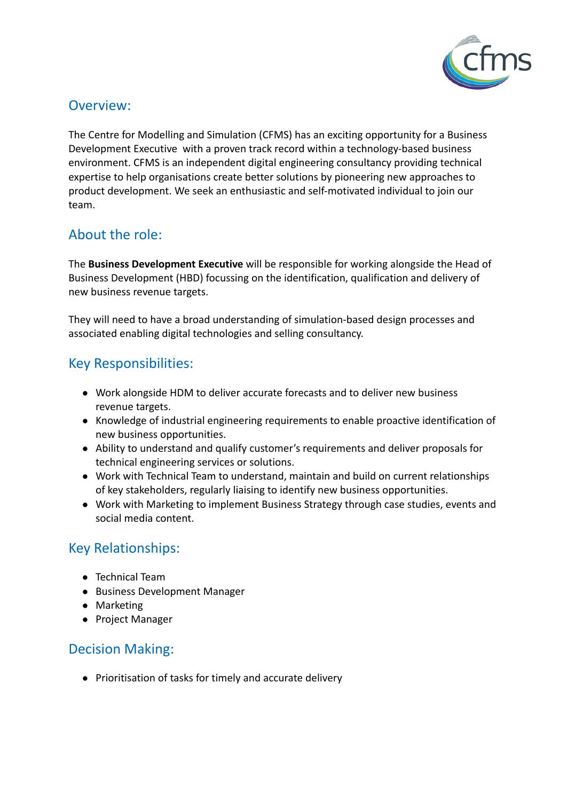

#### Overview:

The Centre for Modelling and Simulation (CFMS) has an exciting opportunity for a Business Development Executive with a proven track record within a technology-based business environment. CFMS is an independent digital engineering consultancy providing technical expertise to help organisations create better solutions by pioneering new approaches to product development. We seek an enthusiastic and self-motivated individual to join our team.

# About the role:

The **Business Development Executive** will be responsible for working alongside the Head of Business Development (HBD) focussing on the identification, qualification and delivery of new business revenue targets.

They will need to have a broad understanding of simulation-based design processes and associated enabling digital technologies and selling consultancy.

# Key Responsibilities:

- Work alongside HDM to deliver accurate forecasts and to deliver new business revenue targets.
- Knowledge of industrial engineering requirements to enable proactive identification of new business opportunities.
- Ability to understand and qualify customer's requirements and deliver proposals for technical engineering services or solutions.
- Work with Technical Team to understand, maintain and build on current relationships of key stakeholders, regularly liaising to identify new business opportunities.
- Work with Marketing to implement Business Strategy through case studies, events and social media content.

# Key Relationships:

- Technical Team
- Business Development Manager
- Marketing
- Project Manager

# Decision Making:

● Prioritisation of tasks for timely and accurate delivery